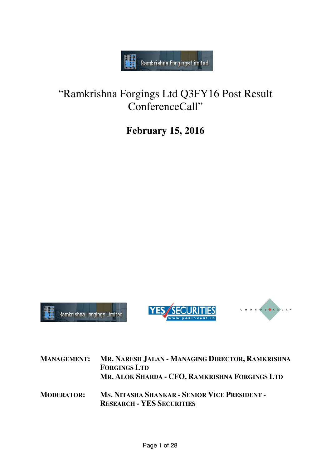

# "Ramkrishna Forgings Ltd Ramkrishna Q3FY16 Post Result ConferenceCall"

## **February 15, 2016**







| <b>MANAGEMENT:</b> | MR. NARESH JALAN - MANAGING DIRECTOR, RAMKRISHNA<br><b>FORGINGS LTD</b><br>MR. ALOK SHARDA - CFO, RAMKRISHNA FORGINGS LTD |
|--------------------|---------------------------------------------------------------------------------------------------------------------------|
| <b>MODERATOR:</b>  | MS. NITASHA SHANKAR - SENIOR VICE PRESIDENT -<br><b>RESEARCH - YES SECURITIES</b>                                         |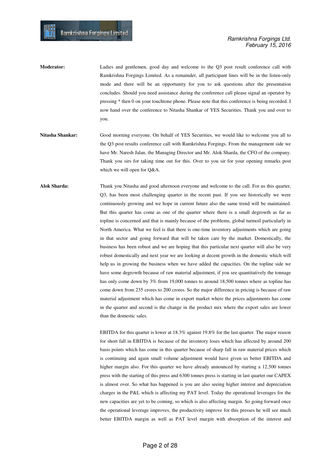- **Moderator:** Ladies and gentlemen, good day and welcome to the Q3 post result conference call with Ramkrishna Forgings Limited. As a remainder, all participant lines will be in the listen-only mode and there will be an opportunity for you to ask questions after the presentation concludes. Should you need assistance during the conference call please signal an operator by pressing \* then 0 on your touchtone phone. Please note that this conference is being recorded. I now hand over the conference to Nitasha Shankar of YES Securities. Thank you and over to you.
- **Nitasha Shankar:** Good morning everyone. On behalf of YES Securities, we would like to welcome you all to the Q3 post results conference call with Ramkrishna Forgings. From the management side we have Mr. Naresh Jalan, the Managing Director and Mr. Alok Sharda, the CFO of the company. Thank you sirs for taking time out for this. Over to you sir for your opening remarks post which we will open for Q&A.
- **Alok Sharda:** Thank you Nitasha and good afternoon everyone and welcome to the call. For us this quarter, Q3, has been most challenging quarter in the recent past. If you see historically we were continuously growing and we hope in current future also the same trend will be maintained. But this quarter has come as one of the quarter where there is a small degrowth as far as topline is concerned and that is mainly because of the problems, global turmoil particularly in North America. What we feel is that there is one-time inventory adjustments which are going in that sector and going forward that will be taken care by the market. Domestically, the business has been robust and we are hoping that this particular next quarter will also be very robust domestically and next year we are looking at decent growth in the domestic which will help us in growing the business when we have added the capacities. On the topline side we have some degrowth because of raw material adjustment, if you see quantitatively the tonnage has only come down by 3% from 19,000 tonnes to around 18,500 tonnes where as topline has come down from 235 crores to 200 crores. So the major difference in pricing is because of raw material adjustment which has come in export market where the prices adjustments has come in the quarter and second is the change in the product mix where the export sales are lower than the domestic sales.

EBITDA for this quarter is lower at 18.3% against 19.8% for the last quarter. The major reason for short fall in EBITDA is because of the inventory loses which has affected by around 200 basis points which has come in this quarter because of sharp fall in raw material prices which is continuing and again small volume adjustment would have given us better EBITDA and higher margin also. For this quarter we have already announced by starting a 12,500 tonnes press with the starting of this press and 6300 tonnes press is starting in last quarter our CAPEX is almost over. So what has happened is you are also seeing higher interest and depreciation charges in the P&L which is affecting my PAT level. Today the operational leverages for the new capacities are yet to be coming, so which is also affecting margin. So going forward once the operational leverage improves, the productivity improve for this presses he will see much better EBITDA margin as well as PAT level margin with absorption of the interest and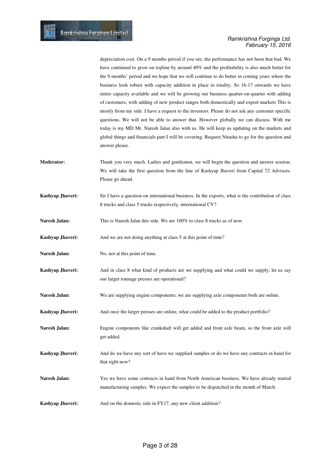depreciation cost. On a 9 months period if you see, the performance has not been that bad. We have continued to grow on topline by around 40% and the profitability is also much better for the 9 months' period and we hope that we will continue to do better in coming years where the business look robust with capacity addition in place in totality. So 16-17 onwards we have entire capacity available and we will be growing our business quarter-on-quarter with adding of customers, with adding of new product ranges both domestically and export markets This is mostly from my side. I have a request to the investors. Please do not ask any customer specific questions. We will not be able to answer that. However globally we can discuss. With me today is my MD Mr. Naresh Jalan also with us. He will keep us updating on the markets and global things and financials part I will be covering. Request Nitasha to go for the question and answer please.

- **Moderator:** Thank you very much. Ladies and gentlemen, we will begin the question and answer session. We will take the first question from the line of Kashyap Jhaveri from Capital 72 Advisors. Please go ahead.
- **Kashyap Jhaveri:** Sir I have a question on international business. In the exports, what is the contribution of class 8 trucks and class 5 trucks respectively, international CV?

**Naresh Jalan:** This is Naresh Jalan this side. We are  $100\%$  to class 8 trucks as of now.

- **Kashyap Jhaveri:** And we are not doing anything at class 5 at this point of time?
- Naresh Jalan: No, not at this point of time.
- **Kashyap Jhaveri:** And in class 8 what kind of products are we supplying and what could we supply, let us say our larger tonnage presses are operational?
- **Naresh Jalan:** We are supplying engine components; we are supplying axle components both are online.
- **Kashyap Jhaveri:** And once the larger presses are online, what could be added to the product portfolio?
- **Naresh Jalan:** Engine components like crankshaft will get added and front axle beam, so the front axle will get added.
- **Kashyap Jhaveri:** And do we have any sort of have we supplied samples or do we have any contracts in hand for that right now?
- **Naresh Jalan:** Yes we have some contracts in hand from North American business. We have already started manufacturing samples. We expect the samples to be dispatched in the month of March.

**Kashyap Jhaveri:** And on the domestic side in FY17, any new client addition?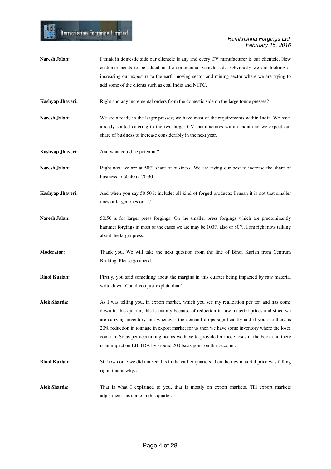**Naresh Jalan:** I think in domestic side our clientele is any and every CV manufacturer is our clientele. New customer needs to be added in the commercial vehicle side. Obviously we are looking at increasing our exposure to the earth moving sector and mining sector where we are trying to add some of the clients such as coal India and NTPC. **Kashyap Jhaveri:** Right and any incremental orders from the domestic side on the large tonne presses? Naresh Jalan: We are already in the larger presses; we have most of the requirements within India. We have already started catering to the two larger CV manufactures within India and we expect our share of business to increase considerably in the next year. **Kashyap Jhaveri:** And what could be potential? Naresh Jalan: Right now we are at 50% share of business. We are trying our best to increase the share of business to 60:40 or 70:30. **Kashyap Jhaveri:** And when you say 50:50 it includes all kind of forged products; I mean it is not that smaller ones or larger ones or…? Naresh Jalan: 50:50 is for larger press forgings. On the smaller press forgings which are predominantly hammer forgings in most of the cases we are may be 100% also or 80%. I am right now talking about the larger press. **Moderator:** Thank you. We will take the next question from the line of Binoi Kurian from Centrum Broking. Please go ahead. **Binoi Kurian:** Firstly, you said something about the margins in this quarter being impacted by raw material write down. Could you just explain that? **Alok Sharda:** As I was telling you, in export market, which you see my realization per ton and has come down in this quarter, this is mainly because of reduction in raw material prices and since we are carrying inventory and whenever the demand drops significantly and if you see there is 20% reduction in tonnage in export market for us then we have some inventory where the loses come in. So as per accounting norms we have to provide for those loses in the book and there is an impact on EBITDA by around 200 basis point on that account. **Binoi Kurian:** Sir how come we did not see this in the earlier quarters, then the raw material price was falling right, that is why… **Alok Sharda:** That is what I explained to you, that is mostly on export markets. Till export markets adjustment has come in this quarter.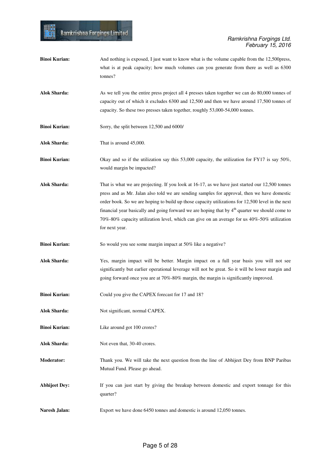| <b>Binoi Kurian:</b> | And nothing is exposed, I just want to know what is the volume capable from the 12,500 press,<br>what is at peak capacity; how much volumes can you generate from there as well as 6300<br>tonnes?                                                                                                                                                                                                                                                                                                                                 |
|----------------------|------------------------------------------------------------------------------------------------------------------------------------------------------------------------------------------------------------------------------------------------------------------------------------------------------------------------------------------------------------------------------------------------------------------------------------------------------------------------------------------------------------------------------------|
| <b>Alok Sharda:</b>  | As we tell you the entire press project all 4 presses taken together we can do 80,000 tonnes of<br>capacity out of which it excludes 6300 and 12,500 and then we have around 17,500 tonnes of<br>capacity. So these two presses taken together, roughly 53,000-54,000 tonnes.                                                                                                                                                                                                                                                      |
| <b>Binoi Kurian:</b> | Sorry, the split between 12,500 and 6000/                                                                                                                                                                                                                                                                                                                                                                                                                                                                                          |
| <b>Alok Sharda:</b>  | That is around 45,000.                                                                                                                                                                                                                                                                                                                                                                                                                                                                                                             |
| <b>Binoi Kurian:</b> | Okay and so if the utilization say this 53,000 capacity, the utilization for FY17 is say 50%,<br>would margin be impacted?                                                                                                                                                                                                                                                                                                                                                                                                         |
| <b>Alok Sharda:</b>  | That is what we are projecting. If you look at 16-17, as we have just started our 12,500 tonnes<br>press and as Mr. Jalan also told we are sending samples for approval, then we have domestic<br>order book. So we are hoping to build up those capacity utilizations for 12,500 level in the next<br>financial year basically and going forward we are hoping that by 4 <sup>th</sup> quarter we should come to<br>70%-80% capacity utilization level, which can give on an average for us 40%-50% utilization<br>for next year. |
| <b>Binoi Kurian:</b> | So would you see some margin impact at 50% like a negative?                                                                                                                                                                                                                                                                                                                                                                                                                                                                        |
| <b>Alok Sharda:</b>  | Yes, margin impact will be better. Margin impact on a full year basis you will not see<br>significantly but earlier operational leverage will not be great. So it will be lower margin and<br>going forward once you are at 70%-80% margin, the margin is significantly improved.                                                                                                                                                                                                                                                  |
| <b>Binoi Kurian:</b> | Could you give the CAPEX forecast for 17 and 18?                                                                                                                                                                                                                                                                                                                                                                                                                                                                                   |
| <b>Alok Sharda:</b>  | Not significant, normal CAPEX.                                                                                                                                                                                                                                                                                                                                                                                                                                                                                                     |
| <b>Binoi Kurian:</b> | Like around got 100 crores?                                                                                                                                                                                                                                                                                                                                                                                                                                                                                                        |
| <b>Alok Sharda:</b>  | Not even that, 30-40 crores.                                                                                                                                                                                                                                                                                                                                                                                                                                                                                                       |
| <b>Moderator:</b>    | Thank you. We will take the next question from the line of Abhijeet Dey from BNP Paribas<br>Mutual Fund. Please go ahead.                                                                                                                                                                                                                                                                                                                                                                                                          |
| <b>Abhijeet Dey:</b> | If you can just start by giving the breakup between domestic and export tonnage for this<br>quarter?                                                                                                                                                                                                                                                                                                                                                                                                                               |
| Naresh Jalan:        | Export we have done 6450 tonnes and domestic is around 12,050 tonnes.                                                                                                                                                                                                                                                                                                                                                                                                                                                              |

H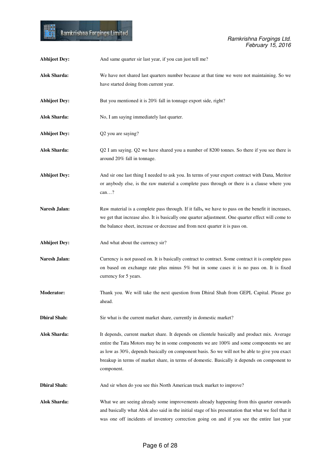| <b>Abhijeet Dey:</b> | And same quarter sir last year, if you can just tell me?                                                                                                                                                                                                                                                                                                                                               |
|----------------------|--------------------------------------------------------------------------------------------------------------------------------------------------------------------------------------------------------------------------------------------------------------------------------------------------------------------------------------------------------------------------------------------------------|
| <b>Alok Sharda:</b>  | We have not shared last quarters number because at that time we were not maintaining. So we<br>have started doing from current year.                                                                                                                                                                                                                                                                   |
| <b>Abhijeet Dey:</b> | But you mentioned it is 20% fall in tonnage export side, right?                                                                                                                                                                                                                                                                                                                                        |
| <b>Alok Sharda:</b>  | No, I am saying immediately last quarter.                                                                                                                                                                                                                                                                                                                                                              |
| <b>Abhijeet Dey:</b> | Q2 you are saying?                                                                                                                                                                                                                                                                                                                                                                                     |
| <b>Alok Sharda:</b>  | Q2 I am saying. Q2 we have shared you a number of 8200 tonnes. So there if you see there is<br>around 20% fall in tonnage.                                                                                                                                                                                                                                                                             |
| <b>Abhijeet Dey:</b> | And sir one last thing I needed to ask you. In terms of your export contract with Dana, Meritor<br>or anybody else, is the raw material a complete pass through or there is a clause where you<br>can?                                                                                                                                                                                                 |
| Naresh Jalan:        | Raw material is a complete pass through. If it falls, we have to pass on the benefit it increases,<br>we get that increase also. It is basically one quarter adjustment. One quarter effect will come to<br>the balance sheet, increase or decrease and from next quarter it is pass on.                                                                                                               |
| <b>Abhijeet Dey:</b> | And what about the currency sir?                                                                                                                                                                                                                                                                                                                                                                       |
| Naresh Jalan:        | Currency is not passed on. It is basically contract to contract. Some contract it is complete pass<br>on based on exchange rate plus minus 5% but in some cases it is no pass on. It is fixed<br>currency for 5 years.                                                                                                                                                                                 |
| <b>Moderator:</b>    | Thank you. We will take the next question from Dhiral Shah from GEPL Capital. Please go<br>ahead.                                                                                                                                                                                                                                                                                                      |
| <b>Dhiral Shah:</b>  | Sir what is the current market share, currently in domestic market?                                                                                                                                                                                                                                                                                                                                    |
| <b>Alok Sharda:</b>  | It depends, current market share. It depends on clientele basically and product mix. Average<br>entire the Tata Motors may be in some components we are 100% and some components we are<br>as low as 30%, depends basically on component basis. So we will not be able to give you exact<br>breakup in terms of market share, in terms of domestic. Basically it depends on component to<br>component. |
| <b>Dhiral Shah:</b>  | And sir when do you see this North American truck market to improve?                                                                                                                                                                                                                                                                                                                                   |
| <b>Alok Sharda:</b>  | What we are seeing already some improvements already happening from this quarter onwards<br>and basically what Alok also said in the initial stage of his presentation that what we feel that it<br>was one off incidents of inventory correction going on and if you see the entire last year                                                                                                         |

■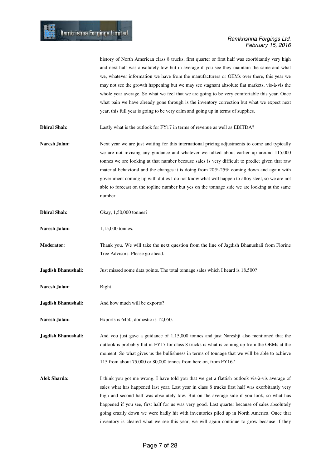history of North American class 8 trucks, first quarter or first half was exorbitantly very high and next half was absolutely low but in average if you see they maintain the same and what we, whatever information we have from the manufacturers or OEMs over there, this year we may not see the growth happening but we may see stagnant absolute flat markets, vis-à-vis the whole year average. So what we feel that we are going to be very comfortable this year. Once what pain we have already gone through is the inventory correction but what we expect next year, this full year is going to be very calm and going up in terms of supplies.

**Dhiral Shah:** Lastly what is the outlook for FY17 in terms of revenue as well as EBITDA?

**Naresh Jalan:** Next year we are just waiting for this international pricing adjustments to come and typically we are not revising any guidance and whatever we talked about earlier up around 115,000 tonnes we are looking at that number because sales is very difficult to predict given that raw material behavioral and the changes it is doing from 20%-25% coming down and again with government coming up with duties I do not know what will happen to alloy steel, so we are not able to forecast on the topline number but yes on the tonnage side we are looking at the same number.

**Dhiral Shah:** Okay, 1,50,000 tonnes?

**Naresh Jalan:** 1,15,000 tonnes.

**Moderator:** Thank you. We will take the next question from the line of Jagdish Bhanushali from Florine Tree Advisors. Please go ahead.

**Jagdish Bhanushali:** Just missed some data points. The total tonnage sales which I heard is 18,500?

- Naresh Jalan: Right.
- **Jagdish Bhanushali:** And how much will be exports?

Naresh Jalan: Exports is 6450, domestic is 12,050.

**Jagdish Bhanushali:** And you just gave a guidance of 1,15,000 tonnes and just Nareshiji also mentioned that the outlook is probably flat in FY17 for class 8 trucks is what is coming up from the OEMs at the moment. So what gives us the bullishness in terms of tonnage that we will be able to achieve 115 from about 75,000 or 80,000 tonnes from here on, from FY16?

**Alok Sharda:** I think you got me wrong. I have told you that we get a flattish outlook vis-à-vis average of sales what has happened last year. Last year in class 8 trucks first half was exorbitantly very high and second half was absolutely low. But on the average side if you look, so what has happened if you see, first half for us was very good. Last quarter because of sales absolutely going crazily down we were badly hit with inventories piled up in North America. Once that inventory is cleared what we see this year, we will again continue to grow because if they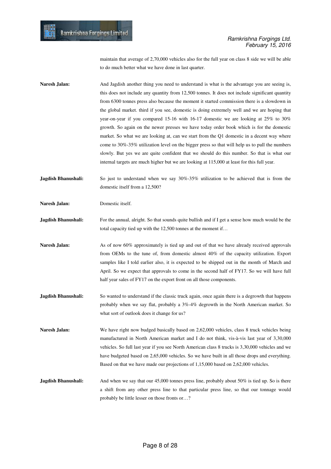maintain that average of 2,70,000 vehicles also for the full year on class 8 side we will be able to do much better what we have done in last quarter.

**Naresh Jalan:** And Jagdish another thing you need to understand is what is the advantage you are seeing is, this does not include any quantity from 12,500 tonnes. It does not include significant quantity from 6300 tonnes press also because the moment it started commission there is a slowdown in the global market. third if you see, domestic is doing extremely well and we are hoping that year-on-year if you compared 15-16 with 16-17 domestic we are looking at 25% to 30% growth. So again on the newer presses we have today order book which is for the domestic market. So what we are looking at, can we start from the Q1 domestic in a decent way where come to 30%-35% utilization level on the bigger press so that will help us to pull the numbers slowly. But yes we are quite confident that we should do this number. So that is what our internal targets are much higher but we are looking at 115,000 at least for this full year.

**Jagdish Bhanushali:** So just to understand when we say 30%-35% utilization to be achieved that is from the domestic itself from a 12,500?

**Naresh Jalan:** Domestic itself.

**Jagdish Bhanushali:** For the annual, alright. So that sounds quite bullish and if I get a sense how much would be the total capacity tied up with the 12,500 tonnes at the moment if…

- **Naresh Jalan:** As of now 60% approximately is tied up and out of that we have already received approvals from OEMs to the tune of, from domestic almost 40% of the capacity utilization. Export samples like I told earlier also, it is expected to be shipped out in the month of March and April. So we expect that approvals to come in the second half of FY17. So we will have full half year sales of FY17 on the export front on all those components.
- **Jagdish Bhanushali:** So wanted to understand if the classic truck again, once again there is a degrowth that happens probably when we say flat, probably a 3%-4% degrowth in the North American market. So what sort of outlook does it change for us?

Naresh Jalan: We have right now budged basically based on 2,62,000 vehicles, class 8 truck vehicles being manufactured in North American market and I do not think, vis-à-vis last year of 3,30,000 vehicles. So full last year if you see North American class 8 trucks is 3,30,000 vehicles and we have budgeted based on 2,65,000 vehicles. So we have built in all those drops and everything. Based on that we have made our projections of 1,15,000 based on 2,62,000 vehicles.

**Jagdish Bhanushali:** And when we say that our 45,000 tonnes press line, probably about 50% is tied up. So is there a shift from any other press line to that particular press line, so that our tonnage would probably be little lesser on those fronts or…?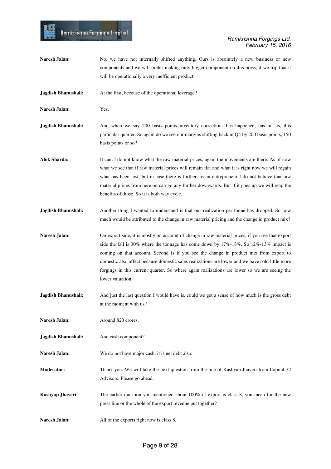- **Naresh Jalan:** No, we have not internally shifted anything. Ours is absolutely a new business or new components and we will prefer making only bigger component on this press, if we trip that it will be operationally a very inefficient product.
- **Jagdish Bhanushali:** At the first, because of the operational leverage?

- **Naresh Jalan:** Yes.
- **Jagdish Bhanushali:** And when we say 200 basis points inventory corrections has happened, has hit us, this particular quarter. So again do we see our margins shifting back in Q4 by 200 basis points, 150 basis points or so?
- Alok Sharda: It can. I do not know what the raw material prices, again the movements are there. As of now what we see that if raw material prices will remain flat and what it is right now we will regain what has been lost, but in case there is further, as an entrepreneur I do not believe that raw material prices from here on can go any further downwards. But if it goes up we will reap the benefits of those. So it is both way cycle.
- **Jagdish Bhanushali:** Another thing I wanted to understand is that our realization per tonne has dropped. So how much would be attributed to the change in raw material pricing and the change in product mix?
- **Naresh Jalan:** On export side, it is mostly on account of change in raw material prices, if you see that export side the fall is 30% where the tonnage has come down by 17%-18%. So 12%-13% impact is coming on that account. Second is if you see the change in product mix from export to domestic also affect because domestic sales realizations are lower and we have sold little more forgings in this current quarter. So where again realizations are lower so we are seeing the lower valuation.
- **Jagdish Bhanushali:** And just the last question I would have is, could we get a sense of how much is the gross debt at the moment with us?
- **Naresh Jalan:** Around 820 crores.
- **Jagdish Bhanushali:** And cash component?
- **Naresh Jalan:** We do not have major cash, it is net debt also.
- **Moderator:** Thank you. We will take the next question from the line of Kashyap Jhaveri from Capital 72 Advisors. Please go ahead.
- **Kashyap Jhaveri:** The earlier question you mentioned about 100% of export is class 8, you mean for the new press line or the whole of the export revenue put together?
- Naresh Jalan: All of the exports right now is class 8.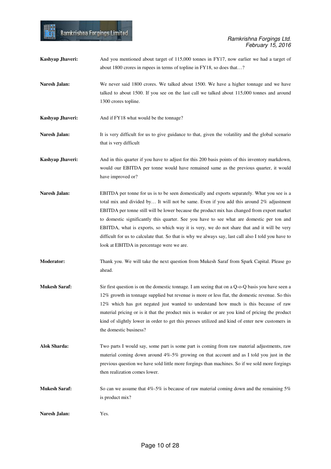| Kashyap Jhaveri:     | And you mentioned about target of 115,000 tonnes in FY17, now earlier we had a target of<br>about 1800 crores in rupees in terms of topline in FY18, so does that?                                                                                                                                                                                                                                                                                                                                                                                                                                                                    |
|----------------------|---------------------------------------------------------------------------------------------------------------------------------------------------------------------------------------------------------------------------------------------------------------------------------------------------------------------------------------------------------------------------------------------------------------------------------------------------------------------------------------------------------------------------------------------------------------------------------------------------------------------------------------|
| Naresh Jalan:        | We never said 1800 crores. We talked about 1500. We have a higher tonnage and we have<br>talked to about 1500. If you see on the last call we talked about 115,000 tonnes and around<br>1300 crores topline.                                                                                                                                                                                                                                                                                                                                                                                                                          |
| Kashyap Jhaveri:     | And if FY18 what would be the tonnage?                                                                                                                                                                                                                                                                                                                                                                                                                                                                                                                                                                                                |
| Naresh Jalan:        | It is very difficult for us to give guidance to that, given the volatility and the global scenario<br>that is very difficult                                                                                                                                                                                                                                                                                                                                                                                                                                                                                                          |
| Kashyap Jhaveri:     | And in this quarter if you have to adjust for this 200 basis points of this inventory markdown,<br>would our EBITDA per tonne would have remained same as the previous quarter, it would<br>have improved or?                                                                                                                                                                                                                                                                                                                                                                                                                         |
| Naresh Jalan:        | EBITDA per tonne for us is to be seen domestically and exports separately. What you see is a<br>total mix and divided by It will not be same. Even if you add this around 2% adjustment<br>EBITDA per tonne still will be lower because the product mix has changed from export market<br>to domestic significantly this quarter. See you have to see what are domestic per ton and<br>EBITDA, what is exports, so which way it is very, we do not share that and it will be very<br>difficult for us to calculate that. So that is why we always say, last call also I told you have to<br>look at EBITDA in percentage were we are. |
| <b>Moderator:</b>    | Thank you. We will take the next question from Mukesh Saraf from Spark Capital. Please go<br>ahead.                                                                                                                                                                                                                                                                                                                                                                                                                                                                                                                                   |
| <b>Mukesh Saraf:</b> | Sir first question is on the domestic tonnage. I am seeing that on a Q-o-Q basis you have seen a<br>12% growth in tonnage supplied but revenue is more or less flat, the domestic revenue. So this<br>12% which has got negated just wanted to understand how much is this because of raw<br>material pricing or is it that the product mix is weaker or are you kind of pricing the product<br>kind of slightly lower in order to get this presses utilized and kind of enter new customers in<br>the domestic business?                                                                                                             |
| <b>Alok Sharda:</b>  | Two parts I would say, some part is some part is coming from raw material adjustments, raw<br>material coming down around $4\%$ -5% growing on that account and as I told you just in the<br>previous question we have sold little more forgings than machines. So if we sold more forgings<br>then realization comes lower.                                                                                                                                                                                                                                                                                                          |
| <b>Mukesh Saraf:</b> | So can we assume that $4\% -5\%$ is because of raw material coming down and the remaining $5\%$<br>is product mix?                                                                                                                                                                                                                                                                                                                                                                                                                                                                                                                    |
| Naresh Jalan:        | Yes.                                                                                                                                                                                                                                                                                                                                                                                                                                                                                                                                                                                                                                  |

H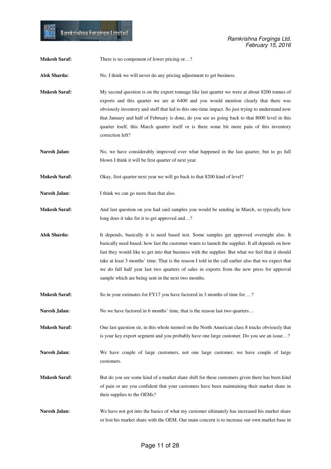■

| <b>Mukesh Saraf:</b> | There is no component of lower pricing or?                                                                                                                                                                                                                                                                                                                                                                                                                                                                                                                     |
|----------------------|----------------------------------------------------------------------------------------------------------------------------------------------------------------------------------------------------------------------------------------------------------------------------------------------------------------------------------------------------------------------------------------------------------------------------------------------------------------------------------------------------------------------------------------------------------------|
| <b>Alok Sharda:</b>  | No. I think we will never do any pricing adjustment to get business.                                                                                                                                                                                                                                                                                                                                                                                                                                                                                           |
| <b>Mukesh Saraf:</b> | My second question is on the export tonnage like last quarter we were at about 8200 tonnes of<br>exports and this quarter we are at 6400 and you would mention clearly that there was<br>obviously inventory and stuff that led to this one-time impact. So just trying to understand now<br>that January and half of February is done, do you see us going back to that 8000 level in this<br>quarter itself, this March quarter itself or is there some bit more pain of this inventory<br>correction left?                                                  |
| Naresh Jalan:        | No, we have considerably improved over what happened in the last quarter, but to go full<br>blown I think it will be first quarter of next year.                                                                                                                                                                                                                                                                                                                                                                                                               |
| <b>Mukesh Saraf:</b> | Okay, first quarter next year we will go back to that 8200 kind of level?                                                                                                                                                                                                                                                                                                                                                                                                                                                                                      |
| Naresh Jalan:        | I think we can go more than that also.                                                                                                                                                                                                                                                                                                                                                                                                                                                                                                                         |
| <b>Mukesh Saraf:</b> | And last question on you had said samples you would be sending in March, so typically how<br>long does it take for it to get approved and?                                                                                                                                                                                                                                                                                                                                                                                                                     |
| <b>Alok Sharda:</b>  | It depends, basically it is need based test. Some samples get approved overnight also. It<br>basically need based; how fast the customer wants to launch the supplier. It all depends on how<br>fast they would like to get into that business with the supplier. But what we feel that it should<br>take at least 3 months' time. That is the reason I told in the call earlier also that we expect that<br>we do full half year last two quarters of sales in exports from the new press for approval<br>sample which are being sent in the next two months. |
| <b>Mukesh Saraf:</b> | So in your estimates for FY17 you have factored in 3 months of time for ?                                                                                                                                                                                                                                                                                                                                                                                                                                                                                      |
| Naresh Jalan:        | No we have factored in 6 months' time, that is the reason last two quarters                                                                                                                                                                                                                                                                                                                                                                                                                                                                                    |
| <b>Mukesh Saraf:</b> | One last question sir, in this whole turmoil on the North American class 8 trucks obviously that<br>is your key export segment and you probably have one large customer. Do you see an issue?                                                                                                                                                                                                                                                                                                                                                                  |
| Naresh Jalan:        | We have couple of large customers, not one large customer, we have couple of large<br>customers.                                                                                                                                                                                                                                                                                                                                                                                                                                                               |
| <b>Mukesh Saraf:</b> | But do you see some kind of a market share shift for these customers given there has been kind<br>of pain or are you confident that your customers have been maintaining their market share in<br>their supplies to the OEMs?                                                                                                                                                                                                                                                                                                                                  |
| Naresh Jalan:        | We have not got into the basics of what my customer ultimately has increased his market share<br>or lost his market share with the OEM. Our main concern is to increase our own market base in                                                                                                                                                                                                                                                                                                                                                                 |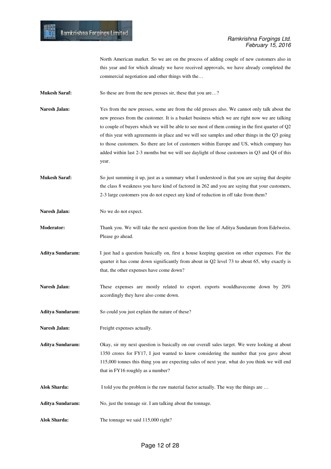North American market. So we are on the process of adding couple of new customers also in this year and for which already we have received approvals, we have already completed the commercial negotiation and other things with the…

**Mukesh Saraf:** So these are from the new presses sir, these that you are...?

Naresh Jalan: Yes from the new presses, some are from the old presses also. We cannot only talk about the new presses from the customer. It is a basket business which we are right now we are talking to couple of buyers which we will be able to see most of them coming in the first quarter of Q2 of this year with agreements in place and we will see samples and other things in the Q3 going to those customers. So there are lot of customers within Europe and US, which company has added within last 2-3 months but we will see daylight of those customers in Q3 and Q4 of this year.

**Mukesh Saraf:** So just summing it up, just as a summary what I understood is that you are saying that despite the class 8 weakness you have kind of factored in 262 and you are saying that your customers, 2-3 large customers you do not expect any kind of reduction in off take from them?

Naresh Jalan: No we do not expect.

**Moderator:** Thank you. We will take the next question from the line of Aditya Sundaram from Edelweiss. Please go ahead.

- **Aditya Sundaram:** I just had a question basically on, first a house keeping question on other expenses. For the quarter it has come down significantly from about in Q2 level 73 to about 65, why exactly is that, the other expenses have come down?
- Naresh Jalan: These expenses are mostly related to export. exports wouldhavecome down by 20% accordingly they have also come down.

Aditya Sundaram: So could you just explain the nature of these?

**Naresh Jalan:** Freight expenses actually.

**Aditya Sundaram:** Okay, sir my next question is basically on our overall sales target. We were looking at about 1350 crores for FY17, I just wanted to know considering the number that you gave about 115,000 tonnes this thing you are expecting sales of next year, what do you think we will end that in FY16 roughly as a number?

Alok Sharda: I told you the problem is the raw material factor actually. The way the things are ...

**Aditya Sundaram:** No, just the tonnage sir. I am talking about the tonnage.

Alok Sharda: The tonnage we said 115,000 right?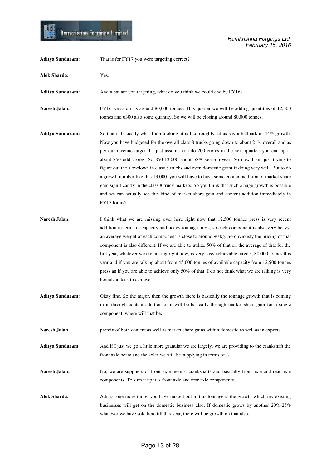| <b>Aditya Sundaram:</b> | That is for FY17 you were targeting correct?                                                                                                                                                                                                                                                                                                                                                                                                                                                                                                                                                                                                                                                                                                                                                                      |
|-------------------------|-------------------------------------------------------------------------------------------------------------------------------------------------------------------------------------------------------------------------------------------------------------------------------------------------------------------------------------------------------------------------------------------------------------------------------------------------------------------------------------------------------------------------------------------------------------------------------------------------------------------------------------------------------------------------------------------------------------------------------------------------------------------------------------------------------------------|
| <b>Alok Sharda:</b>     | Yes.                                                                                                                                                                                                                                                                                                                                                                                                                                                                                                                                                                                                                                                                                                                                                                                                              |
| <b>Aditya Sundaram:</b> | And what are you targeting, what do you think we could end by FY16?                                                                                                                                                                                                                                                                                                                                                                                                                                                                                                                                                                                                                                                                                                                                               |
| Naresh Jalan:           | FY16 we said it is around 80,000 tonnes. This quarter we will be adding quantities of 12,500<br>tonnes and 6300 also some quantity. So we will be closing around 80,000 tonnes.                                                                                                                                                                                                                                                                                                                                                                                                                                                                                                                                                                                                                                   |
| <b>Aditya Sundaram:</b> | So that is basically what I am looking at is like roughly let us say a ballpark of $44\%$ growth.<br>Now you have budgeted for the overall class 8 trucks going down to about 21% overall and as<br>per our revenue target if I just assume you do 200 crores in the next quarter, you end up at<br>about 850 odd crores. So 850-13,000 about 58% year-on-year. So now I am just trying to<br>figure out the slowdown in class 8 trucks and even domestic grant is doing very well. But to do<br>a growth number like this 13,000, you will have to have some content addition or market share<br>gain significantly in the class 8 truck markets. So you think that such a huge growth is possible<br>and we can actually see this kind of market share gain and content addition immediately in<br>FY17 for us? |
| Naresh Jalan:           | I think what we are missing over here right now that 12,500 tonnes press is very recent<br>addition in terms of capacity and heavy tonnage press, so each component is also very heavy,<br>an average weight of each component is close to around 90 kg. So obviously the pricing of that<br>component is also different. If we are able to utilize $50\%$ of that on the average of that for the<br>full year, whatever we are talking right now, is very easy achievable targets, 80,000 tonnes this<br>year and if you are talking about from 45,000 tonnes of available capacity from 12,500 tonnes<br>press an if you are able to achieve only 50% of that. I do not think what we are talking is very<br>herculean task to achieve.                                                                         |
| <b>Aditya Sundaram:</b> | Okay fine. So the major, then the growth there is basically the tonnage growth that is coming<br>in is through content addition or it will be basically through market share gain for a single<br>component, where will that be,                                                                                                                                                                                                                                                                                                                                                                                                                                                                                                                                                                                  |
| Naresh Jalan            | premix of both content as well as market share gains within domestic as well as in exports.                                                                                                                                                                                                                                                                                                                                                                                                                                                                                                                                                                                                                                                                                                                       |
| <b>Aditya Sundaram</b>  | And if I just we go a little more granular we are largely, we are providing to the crankshaft the<br>front axle beam and the axles we will be supplying in terms of?                                                                                                                                                                                                                                                                                                                                                                                                                                                                                                                                                                                                                                              |
| Naresh Jalan:           | No, we are suppliers of front axle beams, crankshafts and basically front axle and rear axle<br>components. To sum it up it is front axle and rear axle components.                                                                                                                                                                                                                                                                                                                                                                                                                                                                                                                                                                                                                                               |
| <b>Alok Sharda:</b>     | Aditya, one more thing, you have missed out in this tonnage is the growth which my existing<br>businesses will get on the domestic business also. If domestic grows by another $20\% - 25\%$<br>whatever we have sold here till this year, there will be growth on that also.                                                                                                                                                                                                                                                                                                                                                                                                                                                                                                                                     |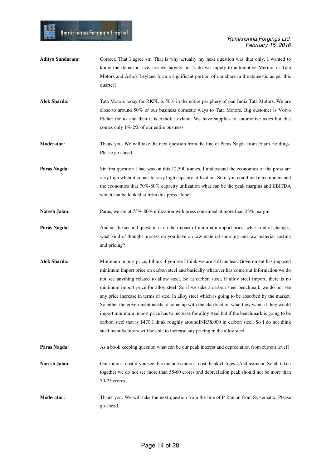**Aditya Sundaram:** Correct. That I agree sir. That is why actually my next question was that only, I wanted to know the domestic size, are we largely tier 2 do we supply to automotive Meritor or Tata Motors and Ashok Leyland form a significant portion of our share in the domestic as per this quarter?

Ramkrishna Forgings Limited

**Alok Sharda:** Tata Motors today for RKFL is 50% in the entire periphery of pan India Tata Motors. We are close to around 50% of our business domestic ways to Tata Motors. Big customer is Volvo Eicher for us and then it is Ashok Leyland. We have supplies to automotive axles but that comes only 1%-2% of our entire business.

**Moderator:** Thank you. We will take the next question from the line of Paras Nagda from Enam Holdings. Please go ahead.

**Paras Nagda:** Sir first question I had was on this 12,500 tonnes, I understand the economics of the press are very high when it comes to very high capacity utilization. So if you could make me understand the economics that 70%-80% capacity utilization what can be the peak margins and EBITDA which can be looked at from this press alone?

Naresh Jalan: Paras, we are at 75%-80% utilization with press consumed at more than 23% margin.

- **Paras Nagda:** And sir the second question is on the impact of minimum import price, what kind of changes, what kind of thought process do you have on raw material sourcing and raw material costing and pricing?
- **Alok Sharda:** Minimum import price, I think if you see I think we are still unclear. Government has imposed minimum import price on carbon steel and basically whatever has come out information we do not see anything related to allow steel. So at carbon steel, if alloy steel import, there is no minimum import price for alloy steel. So if we take a carbon steel benchmark we do not see any price increase in terms of steel in alloy steel which is going to be absorbed by the market. So either the government needs to come up with the clarification what they want, if they would import minimum import price has to increase for alloy steel but if the benchmark is going to be carbon steel that is \$470 I think roughly aroundINR38,000 in carbon steel. So I do not think steel manufacturers will be able to increase any pricing in the alloy steel.

**Paras Nagda:** As a book keeping question what can be our peak interest and depreciation from current level?

- **Naresh Jalan:** Our interest cost if you see this includes interest cost, bank charges 4Aadjustment. So all taken together we do not see more than 55-60 crores and depreciation peak should not be more than 70-75 crores.
- **Moderator:** Thank you. We will take the next question from the line of P Ranjan from Systematix. Please go ahead.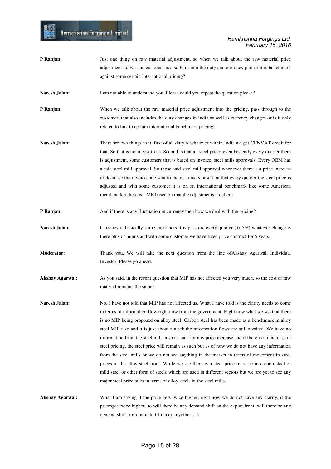### Ramkrishna Forgings Ltd. February 15, 2016

**P Ranjan:** Just one thing on raw material adjustment, so when we talk about the raw material price adjustment do we, the customer is also built into the duty and currency part or it is benchmark against some certain international pricing? **Naresh Jalan:** I am not able to understand you. Please could you repeat the question please? **P Ranjan:** When we talk about the raw material price adjustment into the pricing, pass through to the customer, that also includes the duty changes in India as well as currency changes or is it only related to link to certain international benchmark pricing? **Naresh Jalan:** There are two things to it, first of all duty is whatever within India we get CENVAT credit for that. So that is not a cost to us. Second is that all steel prices even basically every quarter there is adjustment, some customers that is based on invoice, steel mills approvals. Every OEM has a said steel mill approval. So those said steel mill approval whenever there is a price increase or decrease the invoices are sent to the customers based on that every quarter the steel price is adjusted and with some customer it is on an international benchmark like some American metal market there is LME based on that the adjustments are there. **P Ranjan:** And if there is any fluctuation in currency then how we deal with the pricing? **Naresh Jalan:** Currency is basically some customers it is pass on, every quarter (+/-5%) whatever change is there plus or minus and with some customer we have fixed price contract for 5 years. **Moderator:** Thank you. We will take the next question from the line ofAkshay Agarwal, Individual Investor. Please go ahead. Akshay Agarwal: As you said, in the recent question that MIP has not affected you very much, so the cost of raw material remains the same? **Naresh Jalan:** No, I have not told that MIP has not affected us. What I have told is the clarity needs to come in terms of information flow right now from the government. Right now what we see that there is no MIP being proposed on alloy steel. Carbon steel has been made as a benchmark in alloy steel MIP also and it is just about a week the information flows are still awaited. We have no information from the steel mills also as such for any price increase and if there is no increase in steel pricing, the steel price will remain as such but as of now we do not have any information from the steel mills or we do not see anything in the market in terms of movement in steel prices in the alloy steel front. While we see there is a steel price increase in carbon steel or mild steel or other form of steels which are used in different sectors but we are yet to see any major steel price talks in terms of alloy steels in the steel mills. **Akshay Agarwal:** What I am saying if the price gets twice higher, right now we do not have any clarity, if the pricesget twice higher, so will there be any demand shift on the export front, will there be any demand shift from India to China or anyother….?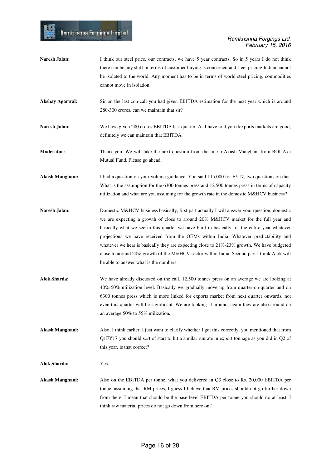H

| Naresh Jalan:          | I think our steel price, our contracts, we have 5 year contracts. So in 5 years I do not think<br>there can be any shift in terms of customer buying is concerned and steel pricing Indian cannot<br>be isolated to the world. Any moment has to be in terms of world steel pricing, commodities<br>cannot move in isolation.                                                                                                                                                                                                                                                                                          |
|------------------------|------------------------------------------------------------------------------------------------------------------------------------------------------------------------------------------------------------------------------------------------------------------------------------------------------------------------------------------------------------------------------------------------------------------------------------------------------------------------------------------------------------------------------------------------------------------------------------------------------------------------|
| <b>Akshay Agarwal:</b> | Sir on the last con-call you had given EBITDA estimation for the next year which is around<br>280-300 crores, can we maintain that sir?                                                                                                                                                                                                                                                                                                                                                                                                                                                                                |
| Naresh Jalan:          | We have given 280 crores EBITDA last quarter. As I have told you if exports markets are good,<br>definitely we can maintain that EBITDA.                                                                                                                                                                                                                                                                                                                                                                                                                                                                               |
| <b>Moderator:</b>      | Thank you. We will take the next question from the line of Akash Manghani from BOI Axa<br>Mutual Fund. Please go ahead.                                                                                                                                                                                                                                                                                                                                                                                                                                                                                                |
| <b>Akash Manghani:</b> | I had a question on your volume guidance. You said 115,000 for FY17, two questions on that.<br>What is the assumption for the 6300 tonnes press and 12,500 tonnes press in terms of capacity<br>utilization and what are you assuming for the growth rate in the domestic M&HCV business?                                                                                                                                                                                                                                                                                                                              |
| Naresh Jalan:          | Domestic M&HCV business basically, first part actually I will answer your question, domestic<br>we are expecting a growth of close to around 20% M&HCV market for the full year and<br>basically what we see in this quarter we have built in basically for the entire year whatever<br>projections we have received from the OEMs within India. Whatever predictability and<br>whatever we hear is basically they are expecting close to $21\%$ -23% growth. We have budgeted<br>close to around 20% growth of the M&HCV sector within India. Second part I think Alok will<br>be able to answer what is the numbers. |
| <b>Alok Sharda:</b>    | We have already discussed on the call, 12,500 tonnes press on an average we are looking at<br>40%-50% utilization level. Basically we gradually move up from quarter-on-quarter and on<br>6300 tonnes press which is more linked for exports market from next quarter onwards, not<br>even this quarter will be significant. We are looking at around, again they are also around on<br>an average 50% to 55% utilization.                                                                                                                                                                                             |
| <b>Akash Manghani:</b> | Also, I think earlier, I just want to clarify whether I got this correctly, you mentioned that from<br>Q1FY17 you should sort of start to hit a similar runrate in export tonnage as you did in $Q2$ of<br>this year, is that correct?                                                                                                                                                                                                                                                                                                                                                                                 |
| <b>Alok Sharda:</b>    | Yes.                                                                                                                                                                                                                                                                                                                                                                                                                                                                                                                                                                                                                   |
| <b>Akash Manghani:</b> | Also on the EBITDA per tonne, what you delivered in Q3 close to Rs. 20,000 EBITDA per<br>tonne, assuming that RM prices, I guess I believe that RM prices should not go further down<br>from there. I mean that should be the base level EBITDA per tonne you should do at least. I<br>think raw material prices do not go down from here on?                                                                                                                                                                                                                                                                          |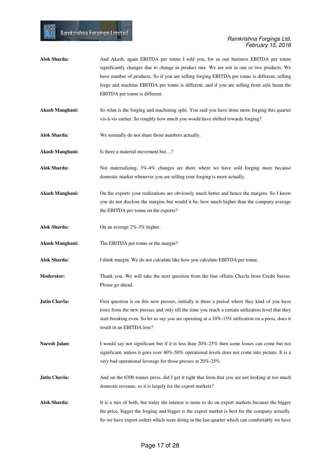- **Alok Sharda:** And Akash, again EBITDA per tonne I told you, for us our business EBITDA per tonne significantly changes due to change in product mix. We are not in one or two products. We have number of products. So if you are selling forging EBITDA per tonne is different, selling forge and machine EBITDA per tonne is different, and if you are selling front axle beam the EBITDA per tonne is different.
- **Akash Manghani:** So what is the forging and machining split. You said you have done more forging this quarter vis-à-vis earlier. So roughly how much you would have shifted towards forging?
- **Alok Sharda:** We normally do not share those numbers actually.
- **Akash Manghani:** Is there a material movement but…?
- **Alok Sharda:** Not materializing, 3%-4% changes are there where we have sold forging more because domestic market whenever you are selling your forging is more actually.
- **Akash Manghani:** On the exports your realizations are obviously much better and hence the margins. So I know you do not disclose the margins but would it be, how much higher than the company average the EBITDA per tonne on the exports?
- **Alok Sharda:** On an average 2%-3% higher.
- **Akash Manghani:** The EBITDA per tonne or the margin?
- **Alok Sharda:** I think margin. We do not calculate like how you calculate EBITDA per tonne.
- **Moderator:** Thank you. We will take the next question from the line ofJatin Chavla from Credit Suisse. Please go ahead.
- **Jatin Chavla:** First question is on this new presses, initially is there a period where they kind of you have loses from the new presses and only till the time you reach a certain utilization level that they start breaking even. So let us say you are operating at a 10%-15% utilization on a press, does it result in an EBITDA loss?
- Naresh Jalan: I would say not significant but if it is less than 20%-25% then some losses can come but not significant, unless it goes over 40%-50% operational levels does not come into picture. It is a very bad operational leverage for those presses at 20%-25%.
- **Jatin Chavla:** And on the 6300 tonnes press, did I get it right that from that you are not looking at too much domestic revenue, so it is largely for the export markets?
- **Alok Sharda:** It is a mix of both, but today the interest is more to do on export markets because the bigger the price, bigger the forging and bigger is the export market is best for the company actually. So we have export orders which were doing in the last quarter which can comfortably we have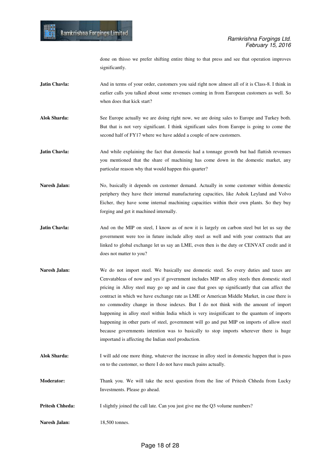done on thisso we prefer shifting entire thing to that press and see that operation improves significantly.

**Jatin Chavla:** And in terms of your order, customers you said right now almost all of it is Class-8. I think in earlier calls you talked about some revenues coming in from European customers as well. So when does that kick start?

- **Alok Sharda:** See Europe actually we are doing right now, we are doing sales to Europe and Turkey both. But that is not very significant. I think significant sales from Europe is going to come the second half of FY17 where we have added a couple of new customers.
- **Jatin Chavla:** And while explaining the fact that domestic had a tonnage growth but had flattish revenues you mentioned that the share of machining has come down in the domestic market, any particular reason why that would happen this quarter?
- **Naresh Jalan:** No, basically it depends on customer demand. Actually in some customer within domestic periphery they have their internal manufacturing capacities, like Ashok Leyland and Volvo Eicher, they have some internal machining capacities within their own plants. So they buy forging and get it machined internally.
- **Jatin Chavla:** And on the MIP on steel, I know as of now it is largely on carbon steel but let us say the government were too in future include alloy steel as well and with your contracts that are linked to global exchange let us say an LME, even then is the duty or CENVAT credit and it does not matter to you?
- Naresh Jalan: We do not import steel. We basically use domestic steel. So every duties and taxes are Cenvatableas of now and yes if government includes MIP on alloy steels then domestic steel pricing in Alloy steel may go up and in case that goes up significantly that can affect the contract in which we have exchange rate as LME or American Middle Market, in case there is no commodity change in those indexes. But I do not think with the amount of import happening in alloy steel within India which is very insignificant to the quantum of imports happening in other parts of steel, government will go and put MIP on imports of allow steel because governments intention was to basically to stop imports wherever there is huge importand is affecting the Indian steel production.
- **Alok Sharda:** I will add one more thing, whatever the increase in alloy steel in domestic happen that is pass on to the customer, so there I do not have much pains actually.
- **Moderator:** Thank you. We will take the next question from the line of Pritesh Chheda from Lucky Investments. Please go ahead.
- **Pritesh Chheda:** I slightly joined the call late. Can you just give me the Q3 volume numbers?
- **Naresh Jalan:** 18,500 tonnes.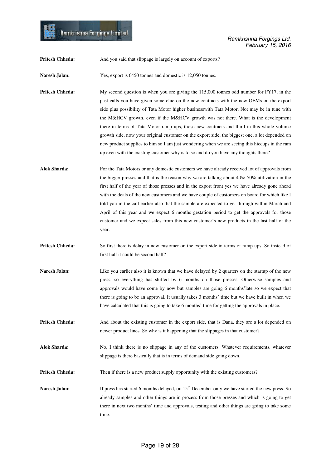|  |  |  |  | Ramkrishna Forgings Limited |  |
|--|--|--|--|-----------------------------|--|
|  |  |  |  |                             |  |

**Pritesh Chheda:** And you said that slippage is largely on account of exports?

Naresh Jalan: Yes, export is 6450 tonnes and domestic is 12,050 tonnes.

**Pritesh Chheda:** My second question is when you are giving the 115,000 tonnes odd number for FY17, in the past calls you have given some clue on the new contracts with the new OEMs on the export side plus possibility of Tata Motor higher businesswith Tata Motor. Not may be in tune with the M&HCV growth, even if the M&HCV growth was not there. What is the development there in terms of Tata Motor ramp ups, those new contracts and third in this whole volume growth side, now your original customer on the export side, the biggest one, a lot depended on new product supplies to him so I am just wondering when we are seeing this hiccups in the ram up even with the existing customer why is to so and do you have any thoughts there?

- **Alok Sharda:** For the Tata Motors or any domestic customers we have already received lot of approvals from the bigger presses and that is the reason why we are talking about 40%-50% utilization in the first half of the year of those presses and in the export front yes we have already gone ahead with the deals of the new customers and we have couple of customers on board for which like I told you in the call earlier also that the sample are expected to get through within March and April of this year and we expect 6 months gestation period to get the approvals for those customer and we expect sales from this new customer's new products in the last half of the year.
- **Pritesh Chheda:** So first there is delay in new customer on the export side in terms of ramp ups. So instead of first half it could be second half?
- **Naresh Jalan:** Like you earlier also it is known that we have delayed by 2 quarters on the startup of the new press, so everything has shifted by 6 months on those presses. Otherwise samples and approvals would have come by now but samples are going 6 months'late so we expect that there is going to be an approval. It usually takes 3 months' time but we have built in when we have calculated that this is going to take 6 months' time for getting the approvals in place.
- **Pritesh Chheda:** And about the existing customer in the export side, that is Dana, they are a lot depended on newer product lines. So why is it happening that the slippages in that customer?
- **Alok Sharda:** No, I think there is no slippage in any of the customers. Whatever requirements, whatever slippage is there basically that is in terms of demand side going down.
- **Pritesh Chheda:** Then if there is a new product supply opportunity with the existing customers?
- **Naresh Jalan:** If press has started 6 months delayed, on 15<sup>th</sup> December only we have started the new press. So already samples and other things are in process from those presses and which is going to get there in next two months' time and approvals, testing and other things are going to take some time.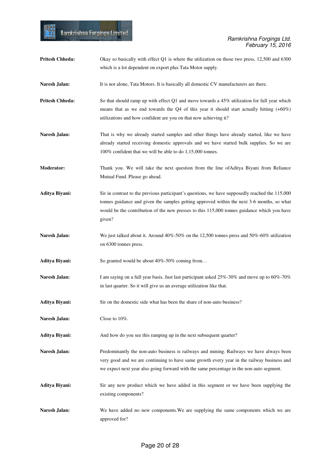| <b>Pritesh Chheda:</b> | Okay so basically with effect Q1 is where the utilization on those two press, 12,500 and 6300<br>which is a lot dependent on export plus Tata Motor supply.                                                                                                                                            |
|------------------------|--------------------------------------------------------------------------------------------------------------------------------------------------------------------------------------------------------------------------------------------------------------------------------------------------------|
| Naresh Jalan:          | It is not alone, Tata Motors. It is basically all domestic CV manufacturers are there.                                                                                                                                                                                                                 |
| <b>Pritesh Chheda:</b> | So that should ramp up with effect $Q1$ and move towards a 45% utilization for full year which<br>means that as we end towards the Q4 of this year it should start actually hitting $(+60\%)$<br>utilizations and how confident are you on that now achieving it?                                      |
| Naresh Jalan:          | That is why we already started samples and other things have already started, like we have<br>already started receiving domestic approvals and we have started bulk supplies. So we are<br>100% confident that we will be able to do 1,15,000 tonnes.                                                  |
| <b>Moderator:</b>      | Thank you. We will take the next question from the line of Aditya Biyani from Reliance<br>Mutual Fund. Please go ahead.                                                                                                                                                                                |
| Aditya Biyani:         | Sir in contrast to the previous participant's questions, we have supposedly reached the 115,000<br>tonnes guidance and given the samples getting approved within the next 3-6 months, so what<br>would be the contribution of the new presses to this 115,000 tonnes guidance which you have<br>given? |
| Naresh Jalan:          | We just talked about it. Around $40\%$ -50% on the 12,500 tonnes press and 50%-60% utilization<br>on 6300 tonnes press.                                                                                                                                                                                |
| Aditya Biyani:         | So granted would be about 40%-50% coming from                                                                                                                                                                                                                                                          |
| Naresh Jalan:          | I am saying on a full year basis. Just last participant asked 25%-30% and move up to 60%-70%<br>in last quarter. So it will give us an average utilization like that.                                                                                                                                  |
| Aditya Biyani:         | Sir on the domestic side what has been the share of non-auto business?                                                                                                                                                                                                                                 |
| Naresh Jalan:          | Close to 10%.                                                                                                                                                                                                                                                                                          |
| Aditya Biyani:         | And how do you see this ramping up in the next subsequent quarter?                                                                                                                                                                                                                                     |
| Naresh Jalan:          | Predominantly the non-auto business is railways and mining. Railways we have always been<br>very good and we are continuing to have same growth every year in the railway business and<br>we expect next year also going forward with the same percentage in the non-auto segment.                     |
| Aditya Biyani:         | Sir any new product which we have added in this segment or we have been supplying the<br>existing components?                                                                                                                                                                                          |
| Naresh Jalan:          | We have added no new components. We are supplying the same components which we are<br>approved for?                                                                                                                                                                                                    |

H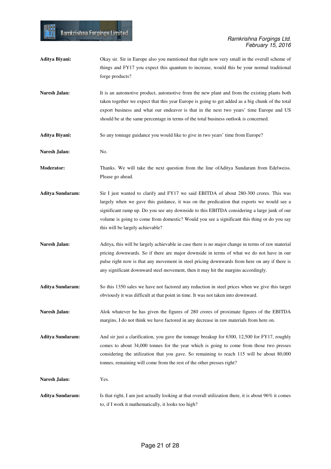- **Aditya Biyani:** Okay sir. Sir in Europe also you mentioned that right now very small in the overall scheme of things and FY17 you expect this quantum to increase, would this be your normal traditional forge products?
- Naresh Jalan: It is an automotive product, automotive from the new plant and from the existing plants both taken together we expect that this year Europe is going to get added as a big chunk of the total export business and what our endeavor is that in the next two years' time Europe and US should be at the same percentage in terms of the total business outlook is concerned.
- **Aditya Biyani:** So any tonnage guidance you would like to give in two years' time from Europe?

**Naresh Jalan:** No.

Ramkrishna Forgings Limited

- **Moderator:** Thanks. We will take the next question from the line ofAditya Sundaram from Edelweiss. Please go ahead.
- **Aditya Sundaram:** Sir I just wanted to clarify and FY17 we said EBITDA of about 280-300 crores. This was largely when we gave this guidance, it was on the predication that exports we would see a significant ramp up. Do you see any downside to this EBITDA considering a large junk of our volume is going to come from domestic? Would you see a significant this thing or do you say this will be largely achievable?
- **Naresh Jalan:** Aditya, this will be largely achievable in case there is no major change in terms of raw material pricing downwards. So if there are major downside in terms of what we do not have in our pulse right now is that any movement in steel pricing downwards from here on any if there is any significant downward steel movement, then it may hit the margins accordingly.
- **Aditya Sundaram:** So this 1350 sales we have not factored any reduction in steel prices when we give this target obviously it was difficult at that point in time. It was not taken into downward.
- **Naresh Jalan:** Alok whatever he has given the figures of 280 crores of proximate figures of the EBITDA margins, I do not think we have factored in any decrease in raw materials from here on.

**Aditya Sundaram:** And sir just a clarification, you gave the tonnage breakup for 6300, 12,500 for FY17, roughly comes to about 34,000 tonnes for the year which is going to come from those two presses considering the utilization that you gave. So remaining to reach 115 will be about 80,000 tonnes, remaining will come from the rest of the other presses right?

**Naresh Jalan:** Yes.

**Aditya Sundaram:** Is that right, I am just actually looking at that overall utilization there, it is about 96% it comes to, if I work it mathematically, it looks too high?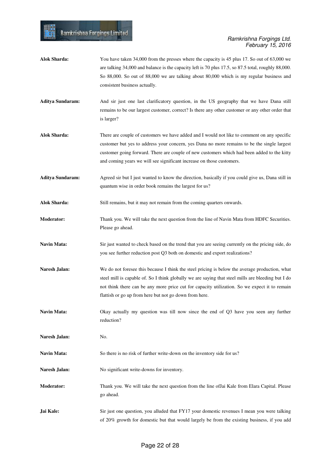### Ramkrishna Forgings Ltd. February 15, 2016

**Alok Sharda:** You have taken 34,000 from the presses where the capacity is 45 plus 17. So out of 63,000 we are talking 34,000 and balance is the capacity left is 70 plus 17.5, so 87.5 total, roughly 88,000. So 88,000. So out of 88,000 we are talking about 80,000 which is my regular business and consistent business actually. **Aditya Sundaram:** And sir just one last clarificatory question, in the US geography that we have Dana still remains to be our largest customer, correct? Is there any other customer or any other order that is larger? **Alok Sharda:** There are couple of customers we have added and I would not like to comment on any specific customer but yes to address your concern, yes Dana no more remains to be the single largest customer going forward. There are couple of new customers which had been added to the kitty and coming years we will see significant increase on those customers. **Aditya Sundaram:** Agreed sir but I just wanted to know the direction, basically if you could give us, Dana still in quantum wise in order book remains the largest for us? **Alok Sharda:** Still remains, but it may not remain from the coming quarters onwards. **Moderator:** Thank you. We will take the next question from the line of Navin Mata from HDFC Securities. Please go ahead. **Navin Mata:** Sir just wanted to check based on the trend that you are seeing currently on the pricing side, do you see further reduction post Q3 both on domestic and export realizations? **Naresh Jalan:** We do not foresee this because I think the steel pricing is below the average production, what steel mill is capable of. So I think globally we are saying that steel mills are bleeding but I do not think there can be any more price cut for capacity utilization. So we expect it to remain flattish or go up from here but not go down from here. **Navin Mata:** Okay actually my question was till now since the end of Q3 have you seen any further reduction? **Naresh Jalan:** No. **Navin Mata:** So there is no risk of further write-down on the inventory side for us? Naresh Jalan: No significant write-downs for inventory. **Moderator:** Thank you. We will take the next question from the line ofJai Kale from Elara Capital. Please go ahead. **Jai Kale:** Sir just one question, you alluded that FY17 your domestic revenues I mean you were talking of 20% growth for domestic but that would largely be from the existing business, if you add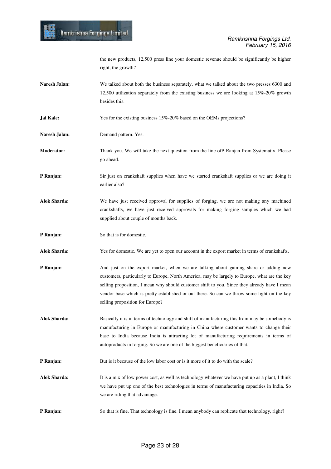the new products, 12,500 press line your domestic revenue should be significantly be higher right, the growth?

- **Naresh Jalan:** We talked about both the business separately, what we talked about the two presses 6300 and 12,500 utilization separately from the existing business we are looking at 15%-20% growth besides this.
- **Jai Kale:** Yes for the existing business 15%-20% based on the OEMs projections?
- **Naresh Jalan:** Demand pattern. Yes.
- **Moderator:** Thank you. We will take the next question from the line ofP Ranjan from Systematix. Please go ahead.
- **P Ranjan:** Sir just on crankshaft supplies when have we started crankshaft supplies or we are doing it earlier also?
- **Alok Sharda:** We have just received approval for supplies of forging, we are not making any machined crankshafts, we have just received approvals for making forging samples which we had supplied about couple of months back.
- **P Ranjan:** So that is for domestic.
- **Alok Sharda:** Yes for domestic. We are yet to open our account in the export market in terms of crankshafts.
- **P Ranjan:** And just on the export market, when we are talking about gaining share or adding new customers, particularly to Europe, North America, may be largely to Europe, what are the key selling proposition, I mean why should customer shift to you. Since they already have I mean vendor base which is pretty established or out there. So can we throw some light on the key selling proposition for Europe?
- **Alok Sharda:** Basically it is in terms of technology and shift of manufacturing this from may be somebody is manufacturing in Europe or manufacturing in China where customer wants to change their base to India because India is attracting lot of manufacturing requirements in terms of autoproducts in forging. So we are one of the biggest beneficiaries of that.
- **P Ranjan:** But is it because of the low labor cost or is it more of it to do with the scale?
- **Alok Sharda:** It is a mix of low power cost, as well as technology whatever we have put up as a plant, I think we have put up one of the best technologies in terms of manufacturing capacities in India. So we are riding that advantage.
- **P Ranjan:** So that is fine. That technology is fine. I mean anybody can replicate that technology, right?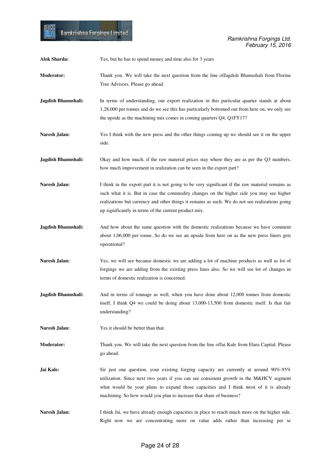WH.

| <b>Alok Sharda:</b>        | Yes, but he has to spend money and time also for 3 years                                                                                                                                                                                                                                                                                                 |
|----------------------------|----------------------------------------------------------------------------------------------------------------------------------------------------------------------------------------------------------------------------------------------------------------------------------------------------------------------------------------------------------|
| <b>Moderator:</b>          | Thank you. We will take the next question from the line of Jagdish Bhanushali from Florine<br>Tree Advisors. Please go ahead.                                                                                                                                                                                                                            |
| Jagdish Bhanushali:        | In terms of understanding, our export realization in this particular quarter stands at about<br>1,28,000 per tonnes and do we see this has particularly bottomed out from here on, we only see<br>the upside as the machining mix comes in coming quarters Q4, Q1FY17?                                                                                   |
| Naresh Jalan:              | Yes I think with the new press and the other things coming up we should see it on the upper<br>side.                                                                                                                                                                                                                                                     |
| <b>Jagdish Bhanushali:</b> | Okay and how much, if the raw material prices stay where they are as per the Q3 numbers,<br>how much improvement in realization can be seen in the export part?                                                                                                                                                                                          |
| Naresh Jalan:              | I think in the export part it is not going to be very significant if the raw material remains as<br>such what it is. But in case the commodity changes on the higher side you may see higher<br>realizations but currency and other things it remains as such. We do not see realizations going<br>up significantly in terms of the current product mix. |
| Jagdish Bhanushali:        | And how about the same question with the domestic realizations because we have comment<br>about 1,06,000 per tonne. So do we see an upside from here on as the new press liners gets<br>operational?                                                                                                                                                     |
| Naresh Jalan:              | Yes, we will see because domestic we are adding a lot of machine products as well as lot of<br>forgings we are adding from the existing press lines also. So we will see lot of changes in<br>terms of domestic realization is concerned.                                                                                                                |
| <b>Jagdish Bhanushali:</b> | And in terms of tonnage as well, when you have done about 12,000 tonnes from domestic<br>itself, I think Q4 we could be doing about 13,000-13,500 from domestic itself. Is that fair<br>understanding?                                                                                                                                                   |
| Naresh Jalan:              | Yes it should be better than that.                                                                                                                                                                                                                                                                                                                       |
| <b>Moderator:</b>          | Thank you. We will take the next question from the line of Jai Kale from Elara Capital. Please<br>go ahead.                                                                                                                                                                                                                                              |
| Jai Kale:                  | Sir just one question, your existing forging capacity are currently at around $90\% - 95\%$<br>utilization. Since next two years if you can see consistent growth in the M&HCV segment<br>what would be your plans to expand those capacities and I think most of it is already<br>machining. So how would you plan to increase that share of business?  |
| Naresh Jalan:              | I think Jai, we have already enough capacities in place to reach much more on the higher side.<br>Right now we are concentrating more on value adds rather than increasing per se                                                                                                                                                                        |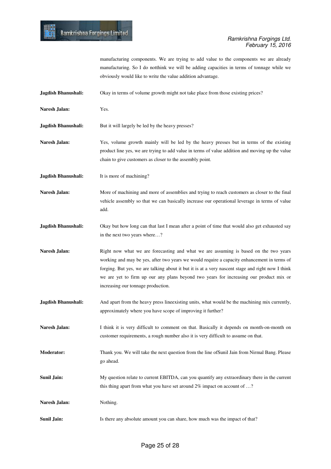

manufacturing components. We are trying to add value to the components we are already manufacturing. So I do notthink we will be adding capacities in terms of tonnage while we obviously would like to write the value addition advantage.

- **Jagdish Bhanushali:** Okay in terms of volume growth might not take place from those existing prices?
- **Naresh Jalan:** Yes.
- **Jagdish Bhanushali:** But it will largely be led by the heavy presses?
- **Naresh Jalan:** Yes, volume growth mainly will be led by the heavy presses but in terms of the existing product line yes, we are trying to add value in terms of value addition and moving up the value chain to give customers as closer to the assembly point.
- **Jagdish Bhanushali:** It is more of machining?
- **Naresh Jalan:** More of machining and more of assemblies and trying to reach customers as closer to the final vehicle assembly so that we can basically increase our operational leverage in terms of value add.
- **Jagdish Bhanushali:** Okay but how long can that last I mean after a point of time that would also get exhausted say in the next two years where…?
- **Naresh Jalan:** Right now what we are forecasting and what we are assuming is based on the two years working and may be yes, after two years we would require a capacity enhancement in terms of forging. But yes, we are talking about it but it is at a very nascent stage and right now I think we are yet to firm up our any plans beyond two years for increasing our product mix or increasing our tonnage production.
- **Jagdish Bhanushali:** And apart from the heavy press lineexisting units, what would be the machining mix currently, approximately where you have scope of improving it further?
- Naresh Jalan: I think it is very difficult to comment on that. Basically it depends on month-on-month on customer requirements, a rough number also it is very difficult to assume on that.
- **Moderator:** Thank you. We will take the next question from the line ofSunil Jain from Nirmal Bang. Please go ahead.
- **Sunil Jain:** My question relate to current EBITDA, can you quantify any extraordinary there in the current this thing apart from what you have set around 2% impact on account of ...?

Naresh Jalan: Nothing.

**Sunil Jain:** Is there any absolute amount you can share, how much was the impact of that?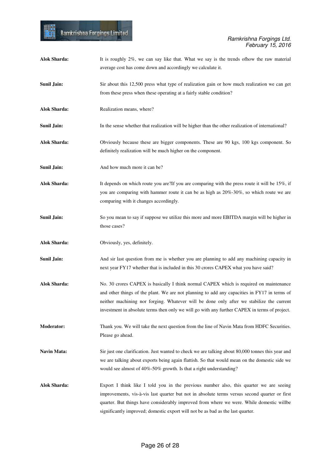| <b>Alok Sharda:</b> | It is roughly 2%, we can say like that. What we say is the trends of how the raw material<br>average cost has come down and accordingly we calculate it.                                                                                                                                                                                                                            |
|---------------------|-------------------------------------------------------------------------------------------------------------------------------------------------------------------------------------------------------------------------------------------------------------------------------------------------------------------------------------------------------------------------------------|
| Sunil Jain:         | Sir about this 12,500 press what type of realization gain or how much realization we can get<br>from these press when these operating at a fairly stable condition?                                                                                                                                                                                                                 |
| <b>Alok Sharda:</b> | Realization means, where?                                                                                                                                                                                                                                                                                                                                                           |
| Sunil Jain:         | In the sense whether that realization will be higher than the other realization of international?                                                                                                                                                                                                                                                                                   |
| <b>Alok Sharda:</b> | Obviously because these are bigger components. These are 90 kgs, 100 kgs component. So<br>definitely realization will be much higher on the component.                                                                                                                                                                                                                              |
| Sunil Jain:         | And how much more it can be?                                                                                                                                                                                                                                                                                                                                                        |
| <b>Alok Sharda:</b> | It depends on which route you are? If you are comparing with the press route it will be 15%, if<br>you are comparing with hammer route it can be as high as 20%-30%, so which route we are<br>comparing with it changes accordingly.                                                                                                                                                |
| <b>Sunil Jain:</b>  | So you mean to say if suppose we utilize this more and more EBITDA margin will be higher in<br>those cases?                                                                                                                                                                                                                                                                         |
| <b>Alok Sharda:</b> | Obviously, yes, definitely.                                                                                                                                                                                                                                                                                                                                                         |
| Sunil Jain:         | And sir last question from me is whether you are planning to add any machining capacity in<br>next year FY17 whether that is included in this 30 crores CAPEX what you have said?                                                                                                                                                                                                   |
| <b>Alok Sharda:</b> | No. 30 crores CAPEX is basically I think normal CAPEX which is required on maintenance<br>and other things of the plant. We are not planning to add any capacities in FY17 in terms of<br>neither machining nor forging. Whatever will be done only after we stabilize the current<br>investment in absolute terms then only we will go with any further CAPEX in terms of project. |
| <b>Moderator:</b>   | Thank you. We will take the next question from the line of Navin Mata from HDFC Securities.<br>Please go ahead.                                                                                                                                                                                                                                                                     |
| Navin Mata:         | Sir just one clarification. Just wanted to check we are talking about 80,000 tonnes this year and<br>we are talking about exports being again flattish. So that would mean on the domestic side we<br>would see almost of 40%-50% growth. Is that a right understanding?                                                                                                            |
| <b>Alok Sharda:</b> | Export I think like I told you in the previous number also, this quarter we are seeing<br>improvements, vis-à-vis last quarter but not in absolute terms versus second quarter or first<br>quarter. But things have considerably improved from where we were. While domestic willbe<br>significantly improved; domestic export will not be as bad as the last quarter.              |

■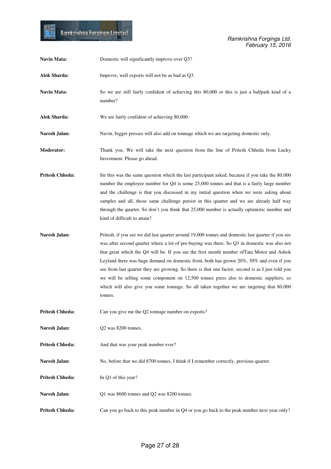

| Navin Mata:            | Domestic will significantly improve over Q3?                                                                                                                                                                                                                                                                                                                                                                                                                                                                                                                                                                                                                                                        |
|------------------------|-----------------------------------------------------------------------------------------------------------------------------------------------------------------------------------------------------------------------------------------------------------------------------------------------------------------------------------------------------------------------------------------------------------------------------------------------------------------------------------------------------------------------------------------------------------------------------------------------------------------------------------------------------------------------------------------------------|
| <b>Alok Sharda:</b>    | Improve, well exports will not be as bad as Q3.                                                                                                                                                                                                                                                                                                                                                                                                                                                                                                                                                                                                                                                     |
| Navin Mata:            | So we are still fairly confident of achieving this 80,000 or this is just a ballpark kind of a<br>number?                                                                                                                                                                                                                                                                                                                                                                                                                                                                                                                                                                                           |
| <b>Alok Sharda:</b>    | We are fairly confident of achieving 80,000.                                                                                                                                                                                                                                                                                                                                                                                                                                                                                                                                                                                                                                                        |
| Naresh Jalan:          | Navin, bigger presses will also add on tonnage which we are targeting domestic only.                                                                                                                                                                                                                                                                                                                                                                                                                                                                                                                                                                                                                |
| <b>Moderator:</b>      | Thank you. We will take the next question from the line of Pritesh Chheda from Lucky<br>Investment. Please go ahead.                                                                                                                                                                                                                                                                                                                                                                                                                                                                                                                                                                                |
| <b>Pritesh Chheda:</b> | Sir this was the same question which the last participant asked, because if you take the 80,000<br>number the employee number for Q4 is some 25,000 tonnes and that is a fairly large number<br>and the challenge is that you discussed in my initial question when we were asking about<br>samples and all, those same challenge persist in this quarter and we are already half way<br>through the quarter. So don't you think that 25,000 number is actually optimistic number and<br>kind of difficult to attain?                                                                                                                                                                               |
| Naresh Jalan:          | Pritesh, if you see we did last quarter around 19,000 tonnes and domestic last quarter if you see<br>was after second quarter where a lot of pre-buying was there. So Q3 in domestic was also not<br>that great which the Q4 will be. If you see the first month number of Tata Motor and Ashok<br>Leyland there was huge demand on domestic front, both has grown 20%, 30% and even if you<br>see from last quarter they are growing. So there is that one factor, second is as I just told you<br>we will be selling some component on 12,500 tonnes press also to domestic suppliers, so<br>which will also give you some tonnage. So all taken together we are targeting that 80,000<br>tonnes. |
| <b>Pritesh Chheda:</b> | Can you give me the Q2 tonnage number on exports?                                                                                                                                                                                                                                                                                                                                                                                                                                                                                                                                                                                                                                                   |
| Naresh Jalan:          | Q2 was 8200 tonnes.                                                                                                                                                                                                                                                                                                                                                                                                                                                                                                                                                                                                                                                                                 |
| <b>Pritesh Chheda:</b> | And that was your peak number ever?                                                                                                                                                                                                                                                                                                                                                                                                                                                                                                                                                                                                                                                                 |
| Naresh Jalan:          | No, before that we did 8700 tonnes, I think if I remember correctly, previous quarter.                                                                                                                                                                                                                                                                                                                                                                                                                                                                                                                                                                                                              |
| <b>Pritesh Chheda:</b> | In Q1 of this year?                                                                                                                                                                                                                                                                                                                                                                                                                                                                                                                                                                                                                                                                                 |
| Naresh Jalan:          | Q1 was 8600 tonnes and Q2 was 8200 tonnes.                                                                                                                                                                                                                                                                                                                                                                                                                                                                                                                                                                                                                                                          |
| <b>Pritesh Chheda:</b> | Can you go back to this peak number in Q4 or you go back to the peak number next year only?                                                                                                                                                                                                                                                                                                                                                                                                                                                                                                                                                                                                         |